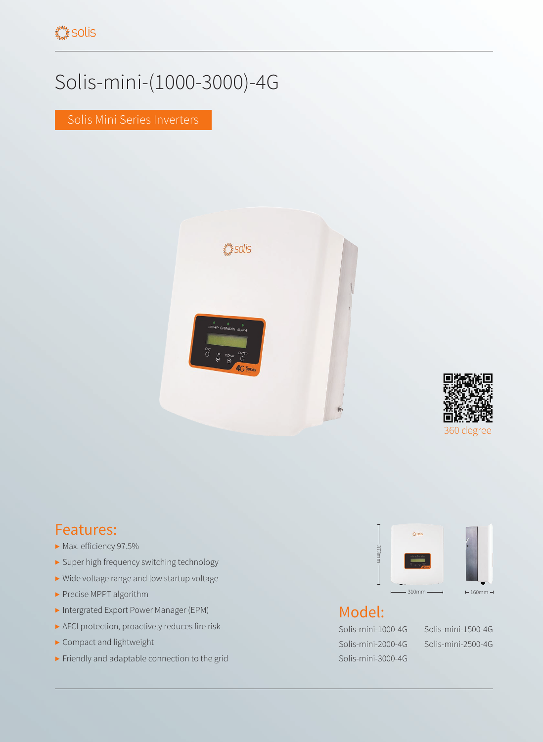## Solis-mini-(1000-3000)-4G

Solis Mini Series Inverters





## Features:

- ▶ Max. efficiency 97.5%
- ▶ Super high frequency switching technology
- ▶ Wide voltage range and low startup voltage
- ▶ Precise MPPT algorithm
- ▶ Intergrated Export Power Manager (EPM)
- ▶ AFCI protection, proactively reduces fire risk
- ▶ Compact and lightweight
- ▶ Friendly and adaptable connection to the grid



## Model:

Solis-mini-1000-4G Solis-mini-1500-4G Solis-mini-2000-4G Solis-mini-2500-4G Solis-mini-3000-4G